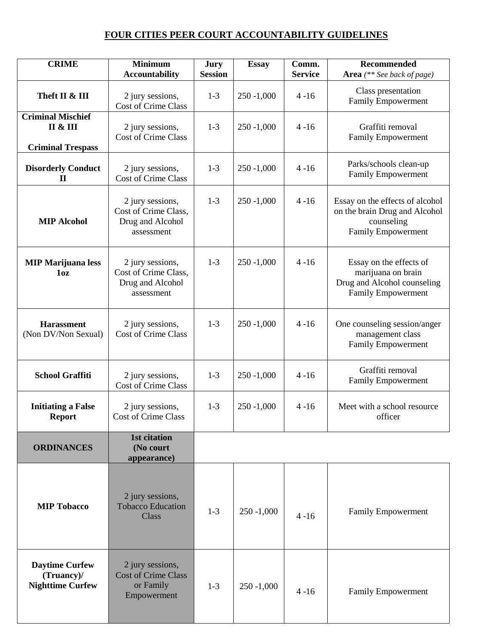## **FOUR CITIES PEER COURT ACCOUNTABILITY GUIDELINES**

| <b>CRIME</b>                                                                | <b>Minimum</b><br><b>Accountability</b>                                    | Jury<br><b>Session</b> | <b>Essay</b>  | Comm.<br><b>Service</b> | Recommended<br>Area (** See back of page)                                                                 |
|-----------------------------------------------------------------------------|----------------------------------------------------------------------------|------------------------|---------------|-------------------------|-----------------------------------------------------------------------------------------------------------|
| Theft II & III                                                              | 2 jury sessions,<br><b>Cost of Crime Class</b>                             | $1-3$                  | $250 - 1,000$ | $4 - 16$                | Class presentation<br>Family Empowerment                                                                  |
| <b>Criminal Mischief</b><br><b>II &amp; III</b><br><b>Criminal Trespass</b> | 2 jury sessions,<br><b>Cost of Crime Class</b>                             | $1-3$                  | $250 - 1,000$ | $4 - 16$                | Graffiti removal<br>Family Empowerment                                                                    |
| <b>Disorderly Conduct</b><br>$\mathbf{I}$                                   | 2 jury sessions,<br><b>Cost of Crime Class</b>                             | $1 - 3$                | $250 - 1,000$ | $4 - 16$                | Parks/schools clean-up<br><b>Family Empowerment</b>                                                       |
| <b>MIP Alcohol</b>                                                          | 2 jury sessions,<br>Cost of Crime Class,<br>Drug and Alcohol<br>assessment | $1-3$                  | $250 - 1,000$ | $4 - 16$                | Essay on the effects of alcohol<br>on the brain Drug and Alcohol<br>counseling<br>Family Empowerment      |
| <b>MIP Marijuana less</b><br>10z                                            | 2 jury sessions,<br>Cost of Crime Class,<br>Drug and Alcohol<br>assessment | $1 - 3$                | $250 - 1,000$ | $4 - 16$                | Essay on the effects of<br>marijuana on brain<br>Drug and Alcohol counseling<br><b>Family Empowerment</b> |
| <b>Harassment</b><br>(Non DV/Non Sexual)                                    | 2 jury sessions,<br><b>Cost of Crime Class</b>                             | $1 - 3$                | $250 - 1,000$ | $4 - 16$                | One counseling session/anger<br>management class<br><b>Family Empowerment</b>                             |
| <b>School Graffiti</b>                                                      | 2 jury sessions,<br><b>Cost of Crime Class</b>                             | $1 - 3$                | $250 - 1,000$ | $4 - 16$                | Graffiti removal<br>Family Empowerment                                                                    |
| <b>Initiating a False</b><br><b>Report</b>                                  | 2 jury sessions,<br>Cost of Crime Class                                    | $1 - 3$                | $250 - 1,000$ | $4 - 16$                | Meet with a school resource<br>officer                                                                    |
| <b>ORDINANCES</b>                                                           | 1st citation<br>(No court<br>appearance)                                   |                        |               |                         |                                                                                                           |
| <b>MIP Tobacco</b>                                                          | 2 jury sessions,<br><b>Tobacco Education</b><br>Class                      | $1-3$                  | $250 - 1,000$ | $4 - 16$                | <b>Family Empowerment</b>                                                                                 |
| <b>Daytime Curfew</b><br>(Truancy)/<br><b>Nighttime Curfew</b>              | 2 jury sessions,<br><b>Cost of Crime Class</b><br>or Family<br>Empowerment | $1-3$                  | $250 - 1,000$ | $4 - 16$                | <b>Family Empowerment</b>                                                                                 |